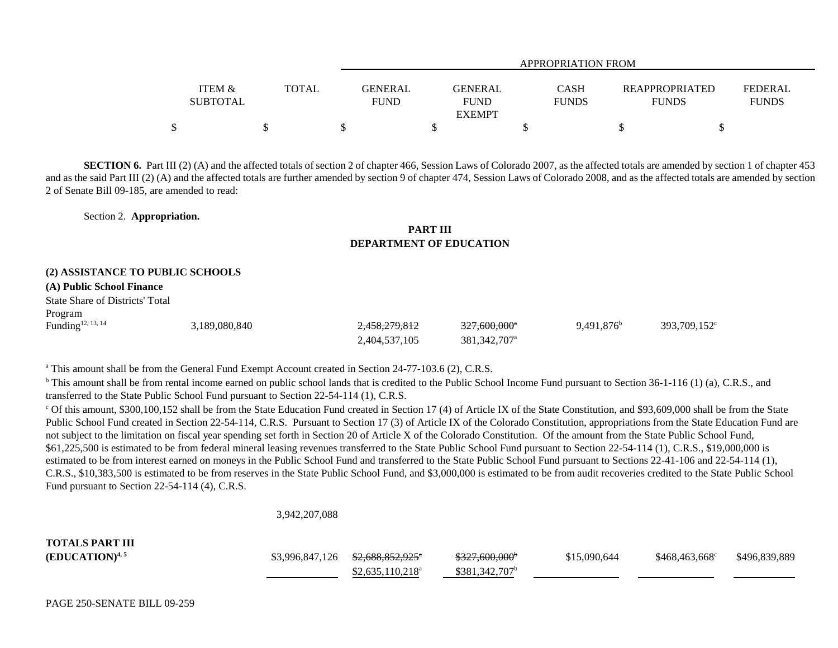|                   |              |                                             | APPROPRIATION FROM |  |                       |                |
|-------------------|--------------|---------------------------------------------|--------------------|--|-----------------------|----------------|
| <b>ITEM &amp;</b> | <b>TOTAL</b> | GENERAL<br><b>GENERAL</b>                   | <b>CASH</b>        |  | <b>REAPPROPRIATED</b> | <b>FEDERAL</b> |
| <b>SUBTOTAL</b>   |              | <b>FUND</b><br><b>FUND</b><br><b>EXEMPT</b> | <b>FUNDS</b>       |  | <b>FUNDS</b>          | <b>FUNDS</b>   |
|                   |              |                                             |                    |  |                       |                |

**SECTION 6.** Part III (2) (A) and the affected totals of section 2 of chapter 466, Session Laws of Colorado 2007, as the affected totals are amended by section 1 of chapter 453 and as the said Part III (2) (A) and the affected totals are further amended by section 9 of chapter 474, Session Laws of Colorado 2008, and as the affected totals are amended by section 2 of Senate Bill 09-185, are amended to read:

Section 2. **Appropriation.**

## **PART IIIDEPARTMENT OF EDUCATION**

## **(2) ASSISTANCE TO PUBLIC SCHOOLS**

## **(A) Public School Finance**

State Share of Districts' TotalProgram

| Funding <sup>12, 13, 14</sup> | 3,189,080,840 | 2,458,279,812 | $327,600,000$ <sup>*</sup> | $9.491.876^b$ | 393,709,152 <sup>c</sup> |
|-------------------------------|---------------|---------------|----------------------------|---------------|--------------------------|
|                               |               | 2,404,537,105 | 381, 342, 707 <sup>a</sup> |               |                          |

<sup>a</sup> This amount shall be from the General Fund Exempt Account created in Section 24-77-103.6 (2), C.R.S.

<sup>b</sup> This amount shall be from rental income earned on public school lands that is credited to the Public School Income Fund pursuant to Section 36-1-116 (1) (a), C.R.S., and transferred to the State Public School Fund pursuant to Section 22-54-114 (1), C.R.S.

<sup>c</sup> Of this amount, \$300,100,152 shall be from the State Education Fund created in Section 17 (4) of Article IX of the State Constitution, and \$93,609,000 shall be from the State Public School Fund created in Section 22-54-114, C.R.S. Pursuant to Section 17 (3) of Article IX of the Colorado Constitution, appropriations from the State Education Fund are not subject to the limitation on fiscal year spending set forth in Section 20 of Article X of the Colorado Constitution. Of the amount from the State Public School Fund, \$61,225,500 is estimated to be from federal mineral leasing revenues transferred to the State Public School Fund pursuant to Section 22-54-114 (1), C.R.S., \$19,000,000 is estimated to be from interest earned on moneys in the Public School Fund and transferred to the State Public School Fund pursuant to Sections 22-41-106 and 22-54-114 (1), C.R.S., \$10,383,500 is estimated to be from reserves in the State Public School Fund, and \$3,000,000 is estimated to be from audit recoveries credited to the State Public School Fund pursuant to Section 22-54-114 (4), C.R.S.

## 3,942,207,088

| <b>TOTALS PART III</b> |                                                |                            |              |                        |               |
|------------------------|------------------------------------------------|----------------------------|--------------|------------------------|---------------|
| $(EDUCATION)^{4,5}$    | $$3,996,847,126$ $$2,688,852,925$ <sup>*</sup> | <del>\$327,600,000</del> * | \$15,090,644 | $$468,463,668^{\circ}$ | \$496,839,889 |
|                        | $$2,635,110,218^a$                             | $$381,342,707^b$           |              |                        |               |